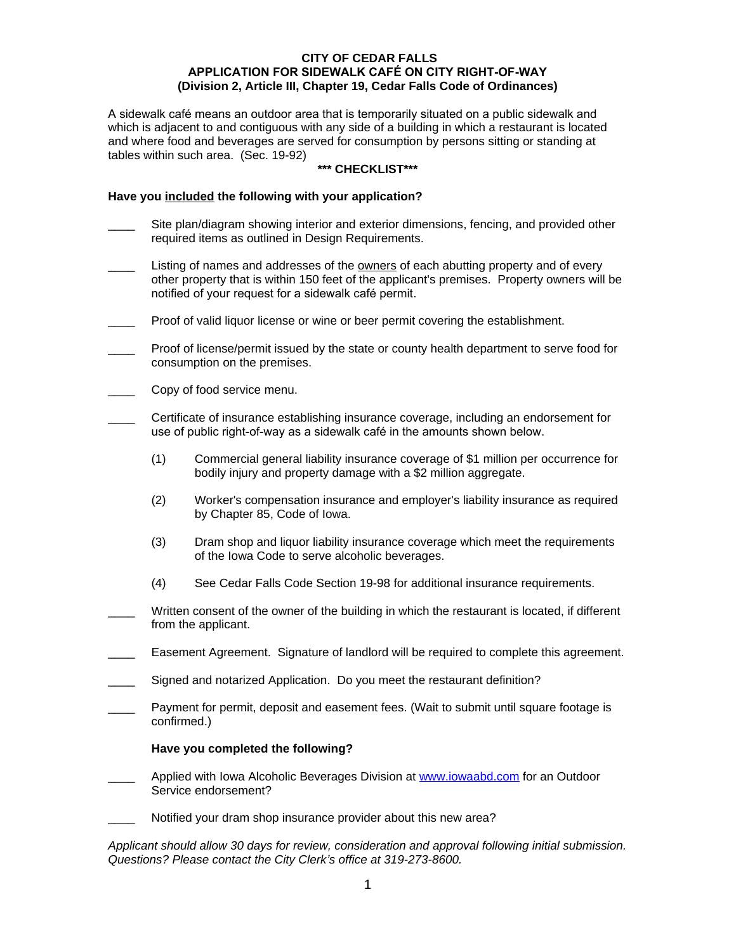### **CITY OF CEDAR FALLS APPLICATION FOR SIDEWALK CAFÉ ON CITY RIGHT-OF-WAY (Division 2, Article III, Chapter 19, Cedar Falls Code of Ordinances)**

A sidewalk café means an outdoor area that is temporarily situated on a public sidewalk and which is adjacent to and contiguous with any side of a building in which a restaurant is located and where food and beverages are served for consumption by persons sitting or standing at tables within such area. (Sec. 19-92)

## **\*\*\* CHECKLIST\*\*\***

### **Have you included the following with your application?**

- Site plan/diagram showing interior and exterior dimensions, fencing, and provided other required items as outlined in Design Requirements.
- Listing of names and addresses of the owners of each abutting property and of every other property that is within 150 feet of the applicant's premises. Property owners will be notified of your request for a sidewalk café permit.
- Proof of valid liquor license or wine or beer permit covering the establishment.
- Proof of license/permit issued by the state or county health department to serve food for consumption on the premises.
- Copy of food service menu.
- \_\_\_\_ Certificate of insurance establishing insurance coverage, including an endorsement for use of public right-of-way as a sidewalk café in the amounts shown below.
	- (1) Commercial general liability insurance coverage of \$1 million per occurrence for bodily injury and property damage with a \$2 million aggregate.
	- (2) Worker's compensation insurance and employer's liability insurance as required by Chapter 85, Code of Iowa.
	- (3) Dram shop and liquor liability insurance coverage which meet the requirements of the Iowa Code to serve alcoholic beverages.
	- (4) See Cedar Falls Code Section 19-98 for additional insurance requirements.
- Written consent of the owner of the building in which the restaurant is located, if different from the applicant.
- Easement Agreement. Signature of landlord will be required to complete this agreement.
- Signed and notarized Application. Do you meet the restaurant definition?
- Payment for permit, deposit and easement fees. (Wait to submit until square footage is confirmed.)

#### **Have you completed the following?**

- Applied with Iowa Alcoholic Beverages Division at [www.iowaabd.com](http://www.iowaabd.com) for an Outdoor Service endorsement?
- Notified your dram shop insurance provider about this new area?

*Applicant should allow 30 days for review, consideration and approval following initial submission. Questions? Please contact the City Clerk's office at 319-273-8600.*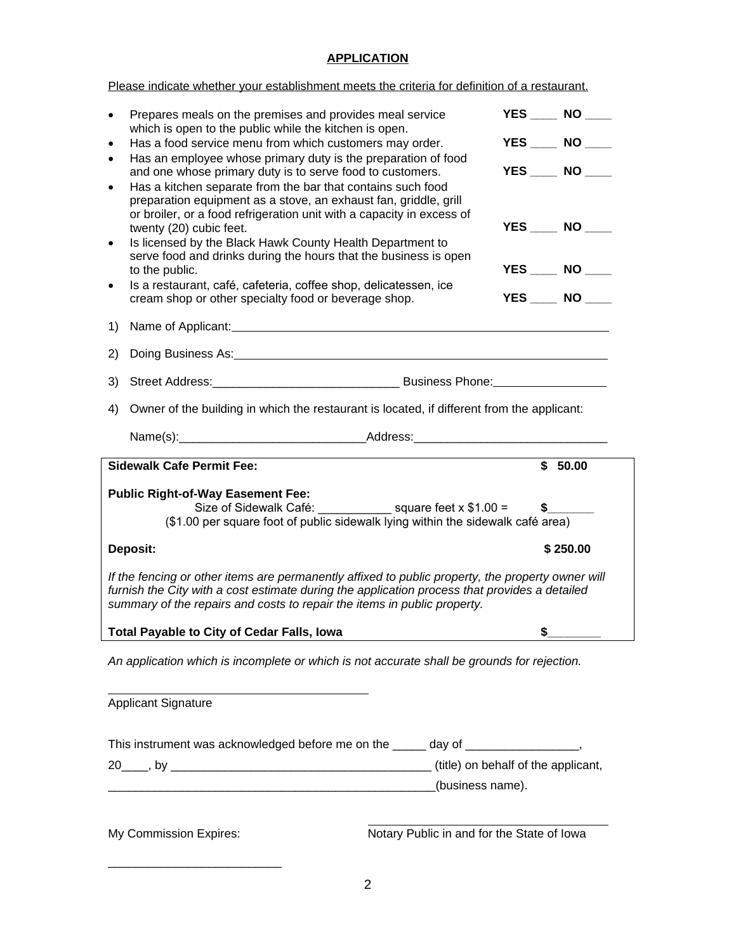## **APPLICATION**

Please indicate whether your establishment meets the criteria for definition of a restaurant.

|                                                                                                                                                                                                                                                                                                                                                                                                                                                                                                                 | Prepares meals on the premises and provides meal service<br>which is open to the public while the kitchen is open.<br>Has a food service menu from which customers may order.                                                                                                                    |                                                                            | $YES$ NO $\qquad$         |  |
|-----------------------------------------------------------------------------------------------------------------------------------------------------------------------------------------------------------------------------------------------------------------------------------------------------------------------------------------------------------------------------------------------------------------------------------------------------------------------------------------------------------------|--------------------------------------------------------------------------------------------------------------------------------------------------------------------------------------------------------------------------------------------------------------------------------------------------|----------------------------------------------------------------------------|---------------------------|--|
| $\bullet$                                                                                                                                                                                                                                                                                                                                                                                                                                                                                                       |                                                                                                                                                                                                                                                                                                  |                                                                            | YES ____ NO ____          |  |
| $\bullet$                                                                                                                                                                                                                                                                                                                                                                                                                                                                                                       | Has an employee whose primary duty is the preparation of food<br>and one whose primary duty is to serve food to customers.                                                                                                                                                                       |                                                                            | YES NO                    |  |
| $\bullet$                                                                                                                                                                                                                                                                                                                                                                                                                                                                                                       | Has a kitchen separate from the bar that contains such food<br>preparation equipment as a stove, an exhaust fan, griddle, grill<br>or broiler, or a food refrigeration unit with a capacity in excess of<br>twenty (20) cubic feet.<br>Is licensed by the Black Hawk County Health Department to |                                                                            | YES NO                    |  |
|                                                                                                                                                                                                                                                                                                                                                                                                                                                                                                                 | serve food and drinks during the hours that the business is open<br>to the public.                                                                                                                                                                                                               |                                                                            | <b>YES</b> _____ NO _____ |  |
| $\bullet$                                                                                                                                                                                                                                                                                                                                                                                                                                                                                                       | Is a restaurant, café, cafeteria, coffee shop, delicatessen, ice<br>cream shop or other specialty food or beverage shop.                                                                                                                                                                         |                                                                            | YES NO                    |  |
| 1)                                                                                                                                                                                                                                                                                                                                                                                                                                                                                                              |                                                                                                                                                                                                                                                                                                  |                                                                            |                           |  |
| 2)                                                                                                                                                                                                                                                                                                                                                                                                                                                                                                              | Doing Business As: <u>Doing Business As:</u>                                                                                                                                                                                                                                                     |                                                                            |                           |  |
| 3)                                                                                                                                                                                                                                                                                                                                                                                                                                                                                                              |                                                                                                                                                                                                                                                                                                  | Street Address: No. 2014 Business Phone: No. 2014 Business Phone: No. 2014 |                           |  |
|                                                                                                                                                                                                                                                                                                                                                                                                                                                                                                                 | 4) Owner of the building in which the restaurant is located, if different from the applicant:                                                                                                                                                                                                    |                                                                            |                           |  |
|                                                                                                                                                                                                                                                                                                                                                                                                                                                                                                                 |                                                                                                                                                                                                                                                                                                  |                                                                            |                           |  |
|                                                                                                                                                                                                                                                                                                                                                                                                                                                                                                                 | <b>Sidewalk Cafe Permit Fee:</b>                                                                                                                                                                                                                                                                 |                                                                            | \$50.00                   |  |
| <b>Public Right-of-Way Easement Fee:</b><br>Size of Sidewalk Café: $square$ feet x \$1.00 =<br>$\mathsf{s}$ and $\mathsf{s}$ and $\mathsf{s}$ and $\mathsf{s}$ and $\mathsf{s}$ and $\mathsf{s}$ and $\mathsf{s}$ and $\mathsf{s}$ and $\mathsf{s}$ and $\mathsf{s}$ and $\mathsf{s}$ and $\mathsf{s}$ and $\mathsf{s}$ and $\mathsf{s}$ and $\mathsf{s}$ and $\mathsf{s}$ and $\mathsf{s}$ and $\mathsf{s}$ and $\mathsf{s$<br>(\$1.00 per square foot of public sidewalk lying within the sidewalk café area) |                                                                                                                                                                                                                                                                                                  |                                                                            |                           |  |
| Deposit:<br>\$250.00                                                                                                                                                                                                                                                                                                                                                                                                                                                                                            |                                                                                                                                                                                                                                                                                                  |                                                                            |                           |  |
| If the fencing or other items are permanently affixed to public property, the property owner will<br>furnish the City with a cost estimate during the application process that provides a detailed<br>summary of the repairs and costs to repair the items in public property.                                                                                                                                                                                                                                  |                                                                                                                                                                                                                                                                                                  |                                                                            |                           |  |
| Total Payable to City of Cedar Falls, Iowa<br>\$                                                                                                                                                                                                                                                                                                                                                                                                                                                                |                                                                                                                                                                                                                                                                                                  |                                                                            |                           |  |
| An application which is incomplete or which is not accurate shall be grounds for rejection.                                                                                                                                                                                                                                                                                                                                                                                                                     |                                                                                                                                                                                                                                                                                                  |                                                                            |                           |  |
| <b>Applicant Signature</b>                                                                                                                                                                                                                                                                                                                                                                                                                                                                                      |                                                                                                                                                                                                                                                                                                  |                                                                            |                           |  |
| This instrument was acknowledged before me on the ______ day of _________________,                                                                                                                                                                                                                                                                                                                                                                                                                              |                                                                                                                                                                                                                                                                                                  |                                                                            |                           |  |
|                                                                                                                                                                                                                                                                                                                                                                                                                                                                                                                 |                                                                                                                                                                                                                                                                                                  |                                                                            |                           |  |
|                                                                                                                                                                                                                                                                                                                                                                                                                                                                                                                 | (business name).                                                                                                                                                                                                                                                                                 |                                                                            |                           |  |
| Notary Public in and for the State of Iowa<br>My Commission Expires:                                                                                                                                                                                                                                                                                                                                                                                                                                            |                                                                                                                                                                                                                                                                                                  |                                                                            |                           |  |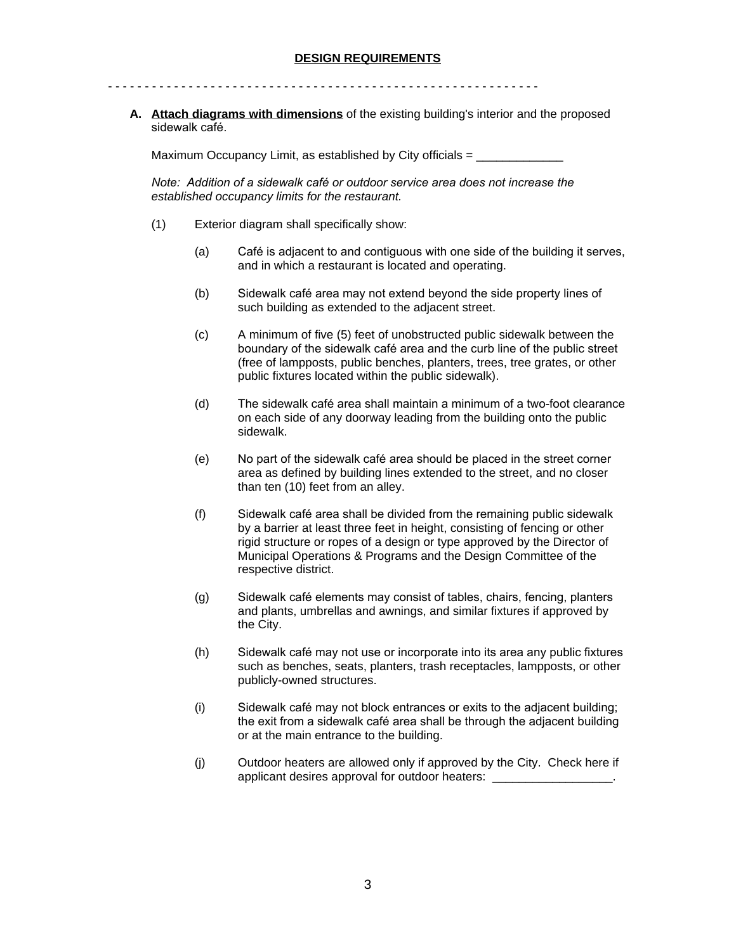- - - - - - - - - - - - - - - - - - - - - - - - - - - - - - - - - - - - - - - - - - - - - - - - - - - - - - - - - - -

**A. Attach diagrams with dimensions** of the existing building's interior and the proposed sidewalk café.

Maximum Occupancy Limit, as established by City officials  $=$ 

*Note: Addition of a sidewalk café or outdoor service area does not increase the established occupancy limits for the restaurant.*

- (1) Exterior diagram shall specifically show:
	- (a) Café is adjacent to and contiguous with one side of the building it serves, and in which a restaurant is located and operating.
	- (b) Sidewalk café area may not extend beyond the side property lines of such building as extended to the adjacent street.
	- (c) A minimum of five (5) feet of unobstructed public sidewalk between the boundary of the sidewalk café area and the curb line of the public street (free of lampposts, public benches, planters, trees, tree grates, or other public fixtures located within the public sidewalk).
	- (d) The sidewalk café area shall maintain a minimum of a two-foot clearance on each side of any doorway leading from the building onto the public sidewalk.
	- (e) No part of the sidewalk café area should be placed in the street corner area as defined by building lines extended to the street, and no closer than ten (10) feet from an alley.
	- (f) Sidewalk café area shall be divided from the remaining public sidewalk by a barrier at least three feet in height, consisting of fencing or other rigid structure or ropes of a design or type approved by the Director of Municipal Operations & Programs and the Design Committee of the respective district.
	- (g) Sidewalk café elements may consist of tables, chairs, fencing, planters and plants, umbrellas and awnings, and similar fixtures if approved by the City.
	- (h) Sidewalk café may not use or incorporate into its area any public fixtures such as benches, seats, planters, trash receptacles, lampposts, or other publicly-owned structures.
	- (i) Sidewalk café may not block entrances or exits to the adjacent building; the exit from a sidewalk café area shall be through the adjacent building or at the main entrance to the building.
	- (j) Outdoor heaters are allowed only if approved by the City. Check here if applicant desires approval for outdoor heaters: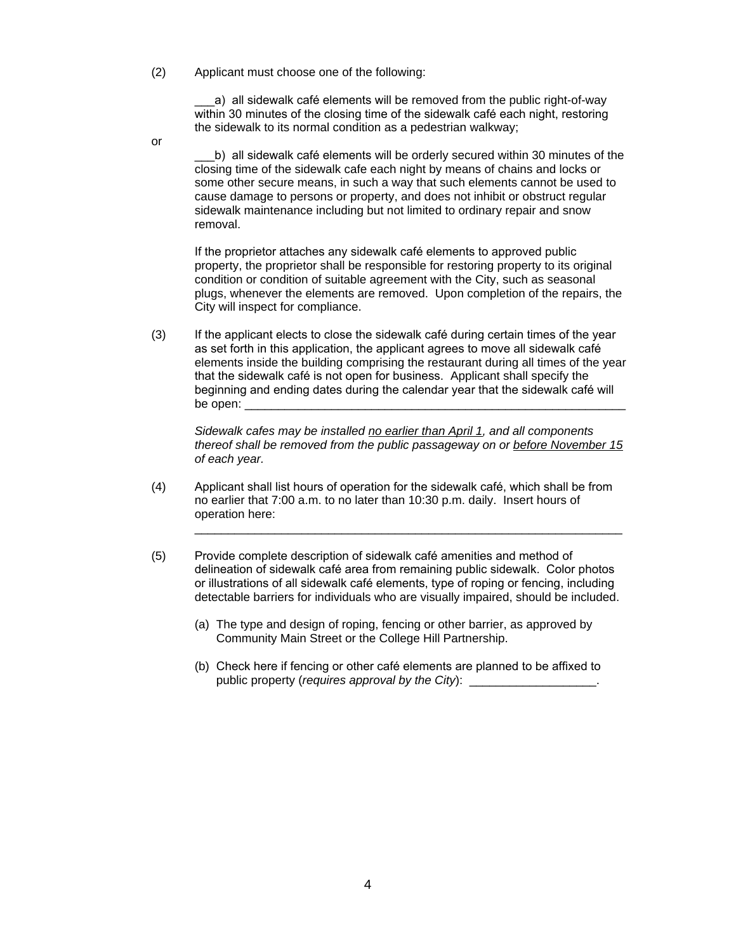(2) Applicant must choose one of the following:

a) all sidewalk café elements will be removed from the public right-of-way within 30 minutes of the closing time of the sidewalk café each night, restoring the sidewalk to its normal condition as a pedestrian walkway;

or

\_\_\_b) all sidewalk café elements will be orderly secured within 30 minutes of the closing time of the sidewalk cafe each night by means of chains and locks or some other secure means, in such a way that such elements cannot be used to cause damage to persons or property, and does not inhibit or obstruct regular sidewalk maintenance including but not limited to ordinary repair and snow removal.

If the proprietor attaches any sidewalk café elements to approved public property, the proprietor shall be responsible for restoring property to its original condition or condition of suitable agreement with the City, such as seasonal plugs, whenever the elements are removed. Upon completion of the repairs, the City will inspect for compliance.

(3) If the applicant elects to close the sidewalk café during certain times of the year as set forth in this application, the applicant agrees to move all sidewalk café elements inside the building comprising the restaurant during all times of the year that the sidewalk café is not open for business. Applicant shall specify the beginning and ending dates during the calendar year that the sidewalk café will be open:

*Sidewalk cafes may be installed no earlier than April 1, and all components thereof shall be removed from the public passageway on or before November 15 of each year.*

\_\_\_\_\_\_\_\_\_\_\_\_\_\_\_\_\_\_\_\_\_\_\_\_\_\_\_\_\_\_\_\_\_\_\_\_\_\_\_\_\_\_\_\_\_\_\_\_\_\_\_\_\_\_\_\_\_\_\_\_\_\_\_\_

- (4) Applicant shall list hours of operation for the sidewalk café, which shall be from no earlier that 7:00 a.m. to no later than 10:30 p.m. daily. Insert hours of operation here:
- (5) Provide complete description of sidewalk café amenities and method of delineation of sidewalk café area from remaining public sidewalk. Color photos or illustrations of all sidewalk café elements, type of roping or fencing, including detectable barriers for individuals who are visually impaired, should be included.
	- (a) The type and design of roping, fencing or other barrier, as approved by Community Main Street or the College Hill Partnership.
	- (b) Check here if fencing or other café elements are planned to be affixed to public property (*requires approval by the City*): \_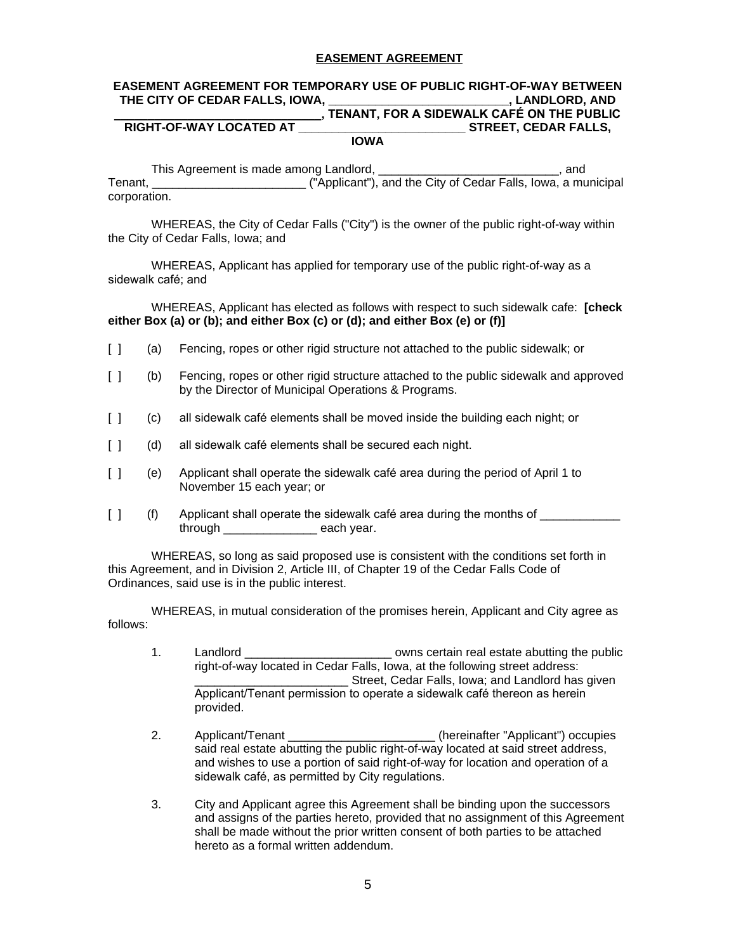## **EASEMENT AGREEMENT**

# **EASEMENT AGREEMENT FOR TEMPORARY USE OF PUBLIC RIGHT-OF-WAY BETWEEN THE CITY OF CEDAR FALLS, IOWA, \_\_\_\_\_\_\_\_\_\_\_\_\_\_\_\_\_\_\_\_\_\_\_\_\_\_\_, LANDLORD, AND**

### **ALCORDING THE PROFILE STATES ON THE PUBLIC RIGHT-OF-WAY LOCATED AT**<br>STREET, CEDAR FALLS, **STREET, CEDAR FALLS, IOWA**

This Agreement is made among Landlord, \_\_\_\_\_\_\_\_\_\_\_\_\_\_\_\_\_\_\_\_\_\_\_\_\_\_\_, and Tenant, \_\_\_\_\_\_\_\_\_\_\_\_\_\_\_\_\_\_\_\_\_\_\_ ("Applicant"), and the City of Cedar Falls, Iowa, a municipal corporation.

WHEREAS, the City of Cedar Falls ("City") is the owner of the public right-of-way within the City of Cedar Falls, Iowa; and

WHEREAS, Applicant has applied for temporary use of the public right-of-way as a sidewalk café; and

WHEREAS, Applicant has elected as follows with respect to such sidewalk cafe: **[check either Box (a) or (b); and either Box (c) or (d); and either Box (e) or (f)]**

- [ ] (a) Fencing, ropes or other rigid structure not attached to the public sidewalk; or
- [ ] (b) Fencing, ropes or other rigid structure attached to the public sidewalk and approved by the Director of Municipal Operations & Programs.
- [ ] (c) all sidewalk café elements shall be moved inside the building each night; or
- [ ] (d) all sidewalk café elements shall be secured each night.
- [ ] (e) Applicant shall operate the sidewalk café area during the period of April 1 to November 15 each year; or
- [ ] (f) Applicant shall operate the sidewalk café area during the months of \_\_\_\_\_\_\_\_\_ through each year.

WHEREAS, so long as said proposed use is consistent with the conditions set forth in this Agreement, and in Division 2, Article III, of Chapter 19 of the Cedar Falls Code of Ordinances, said use is in the public interest.

WHEREAS, in mutual consideration of the promises herein, Applicant and City agree as follows:

- 1. Landlord **Landlord Example 2** owns certain real estate abutting the public right-of-way located in Cedar Falls, Iowa, at the following street address: \_\_\_\_\_\_\_\_\_\_\_\_\_\_\_\_\_\_\_\_\_\_\_ Street, Cedar Falls, Iowa; and Landlord has given Applicant/Tenant permission to operate a sidewalk café thereon as herein provided.
- 2. Applicant/Tenant \_\_\_\_\_\_\_\_\_\_\_\_\_\_\_\_\_\_\_\_\_\_ (hereinafter "Applicant") occupies said real estate abutting the public right-of-way located at said street address, and wishes to use a portion of said right-of-way for location and operation of a sidewalk café, as permitted by City regulations.
- 3. City and Applicant agree this Agreement shall be binding upon the successors and assigns of the parties hereto, provided that no assignment of this Agreement shall be made without the prior written consent of both parties to be attached hereto as a formal written addendum.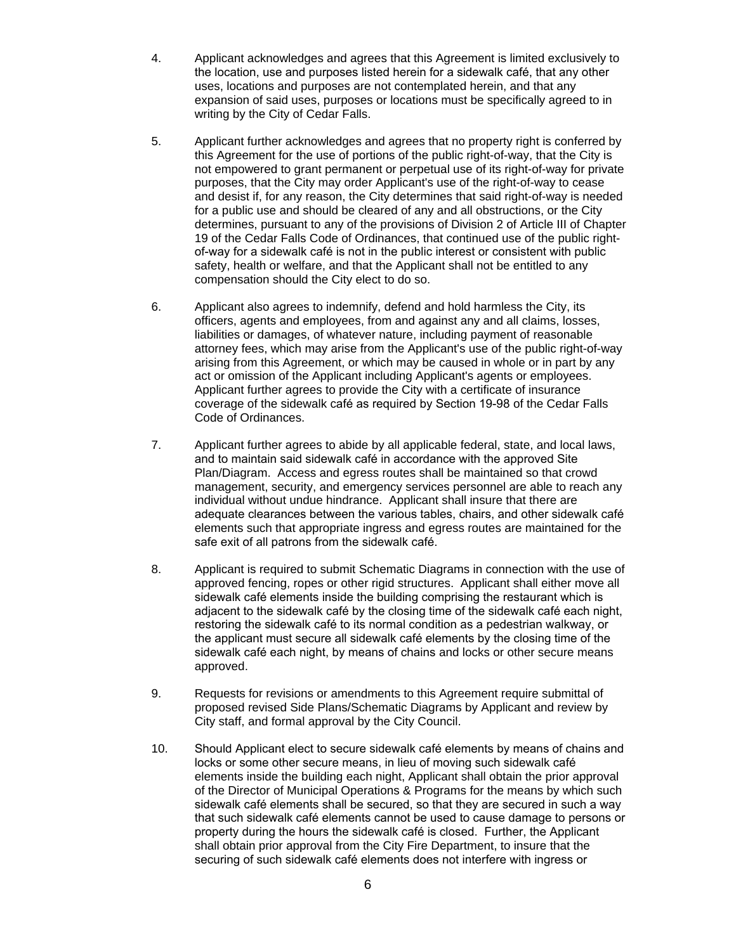- 4. Applicant acknowledges and agrees that this Agreement is limited exclusively to the location, use and purposes listed herein for a sidewalk café, that any other uses, locations and purposes are not contemplated herein, and that any expansion of said uses, purposes or locations must be specifically agreed to in writing by the City of Cedar Falls.
- 5. Applicant further acknowledges and agrees that no property right is conferred by this Agreement for the use of portions of the public right-of-way, that the City is not empowered to grant permanent or perpetual use of its right-of-way for private purposes, that the City may order Applicant's use of the right-of-way to cease and desist if, for any reason, the City determines that said right-of-way is needed for a public use and should be cleared of any and all obstructions, or the City determines, pursuant to any of the provisions of Division 2 of Article III of Chapter 19 of the Cedar Falls Code of Ordinances, that continued use of the public rightof-way for a sidewalk café is not in the public interest or consistent with public safety, health or welfare, and that the Applicant shall not be entitled to any compensation should the City elect to do so.
- 6. Applicant also agrees to indemnify, defend and hold harmless the City, its officers, agents and employees, from and against any and all claims, losses, liabilities or damages, of whatever nature, including payment of reasonable attorney fees, which may arise from the Applicant's use of the public right-of-way arising from this Agreement, or which may be caused in whole or in part by any act or omission of the Applicant including Applicant's agents or employees. Applicant further agrees to provide the City with a certificate of insurance coverage of the sidewalk café as required by Section 19-98 of the Cedar Falls Code of Ordinances.
- 7. Applicant further agrees to abide by all applicable federal, state, and local laws, and to maintain said sidewalk café in accordance with the approved Site Plan/Diagram. Access and egress routes shall be maintained so that crowd management, security, and emergency services personnel are able to reach any individual without undue hindrance. Applicant shall insure that there are adequate clearances between the various tables, chairs, and other sidewalk café elements such that appropriate ingress and egress routes are maintained for the safe exit of all patrons from the sidewalk café.
- 8. Applicant is required to submit Schematic Diagrams in connection with the use of approved fencing, ropes or other rigid structures. Applicant shall either move all sidewalk café elements inside the building comprising the restaurant which is adjacent to the sidewalk café by the closing time of the sidewalk café each night, restoring the sidewalk café to its normal condition as a pedestrian walkway, or the applicant must secure all sidewalk café elements by the closing time of the sidewalk café each night, by means of chains and locks or other secure means approved.
- 9. Requests for revisions or amendments to this Agreement require submittal of proposed revised Side Plans/Schematic Diagrams by Applicant and review by City staff, and formal approval by the City Council.
- 10. Should Applicant elect to secure sidewalk café elements by means of chains and locks or some other secure means, in lieu of moving such sidewalk café elements inside the building each night, Applicant shall obtain the prior approval of the Director of Municipal Operations & Programs for the means by which such sidewalk café elements shall be secured, so that they are secured in such a way that such sidewalk café elements cannot be used to cause damage to persons or property during the hours the sidewalk café is closed. Further, the Applicant shall obtain prior approval from the City Fire Department, to insure that the securing of such sidewalk café elements does not interfere with ingress or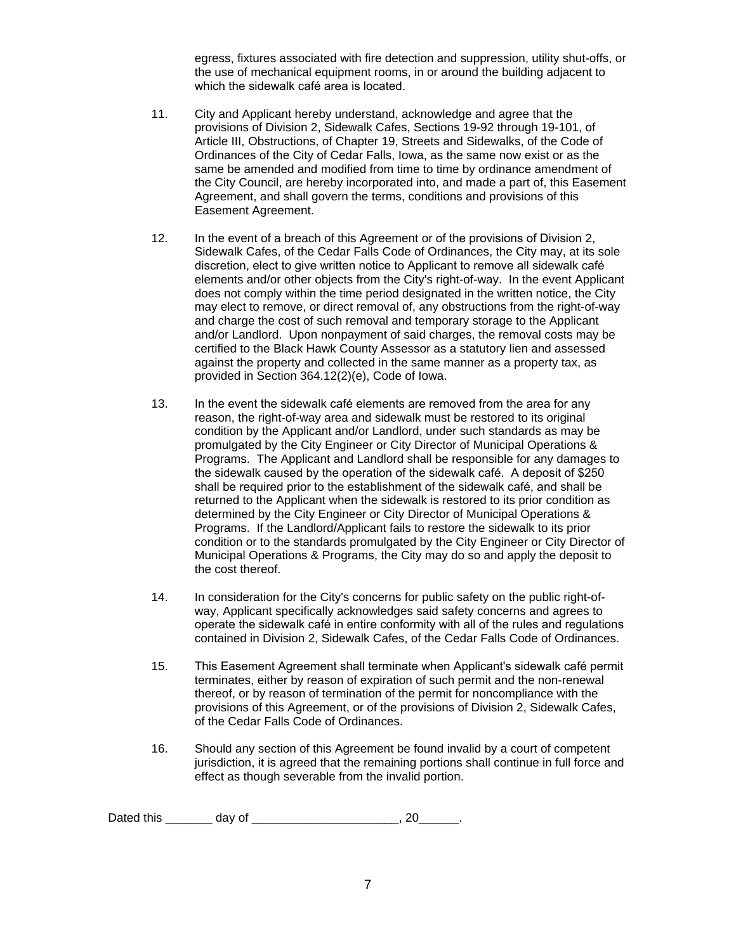egress, fixtures associated with fire detection and suppression, utility shut-offs, or the use of mechanical equipment rooms, in or around the building adjacent to which the sidewalk café area is located.

- 11. City and Applicant hereby understand, acknowledge and agree that the provisions of Division 2, Sidewalk Cafes, Sections 19-92 through 19-101, of Article III, Obstructions, of Chapter 19, Streets and Sidewalks, of the Code of Ordinances of the City of Cedar Falls, Iowa, as the same now exist or as the same be amended and modified from time to time by ordinance amendment of the City Council, are hereby incorporated into, and made a part of, this Easement Agreement, and shall govern the terms, conditions and provisions of this Easement Agreement.
- 12. In the event of a breach of this Agreement or of the provisions of Division 2, Sidewalk Cafes, of the Cedar Falls Code of Ordinances, the City may, at its sole discretion, elect to give written notice to Applicant to remove all sidewalk café elements and/or other objects from the City's right-of-way. In the event Applicant does not comply within the time period designated in the written notice, the City may elect to remove, or direct removal of, any obstructions from the right-of-way and charge the cost of such removal and temporary storage to the Applicant and/or Landlord. Upon nonpayment of said charges, the removal costs may be certified to the Black Hawk County Assessor as a statutory lien and assessed against the property and collected in the same manner as a property tax, as provided in Section 364.12(2)(e), Code of Iowa.
- 13. In the event the sidewalk café elements are removed from the area for any reason, the right-of-way area and sidewalk must be restored to its original condition by the Applicant and/or Landlord, under such standards as may be promulgated by the City Engineer or City Director of Municipal Operations & Programs. The Applicant and Landlord shall be responsible for any damages to the sidewalk caused by the operation of the sidewalk café. A deposit of \$250 shall be required prior to the establishment of the sidewalk café, and shall be returned to the Applicant when the sidewalk is restored to its prior condition as determined by the City Engineer or City Director of Municipal Operations & Programs. If the Landlord/Applicant fails to restore the sidewalk to its prior condition or to the standards promulgated by the City Engineer or City Director of Municipal Operations & Programs, the City may do so and apply the deposit to the cost thereof.
- 14. In consideration for the City's concerns for public safety on the public right-ofway, Applicant specifically acknowledges said safety concerns and agrees to operate the sidewalk café in entire conformity with all of the rules and regulations contained in Division 2, Sidewalk Cafes, of the Cedar Falls Code of Ordinances.
- 15. This Easement Agreement shall terminate when Applicant's sidewalk café permit terminates, either by reason of expiration of such permit and the non-renewal thereof, or by reason of termination of the permit for noncompliance with the provisions of this Agreement, or of the provisions of Division 2, Sidewalk Cafes, of the Cedar Falls Code of Ordinances.
- 16. Should any section of this Agreement be found invalid by a court of competent jurisdiction, it is agreed that the remaining portions shall continue in full force and effect as though severable from the invalid portion.

Dated this \_\_\_\_\_\_\_\_ day of \_\_\_\_\_\_\_\_\_\_\_\_\_\_\_\_\_\_\_\_\_\_\_\_, 20\_\_\_\_\_\_.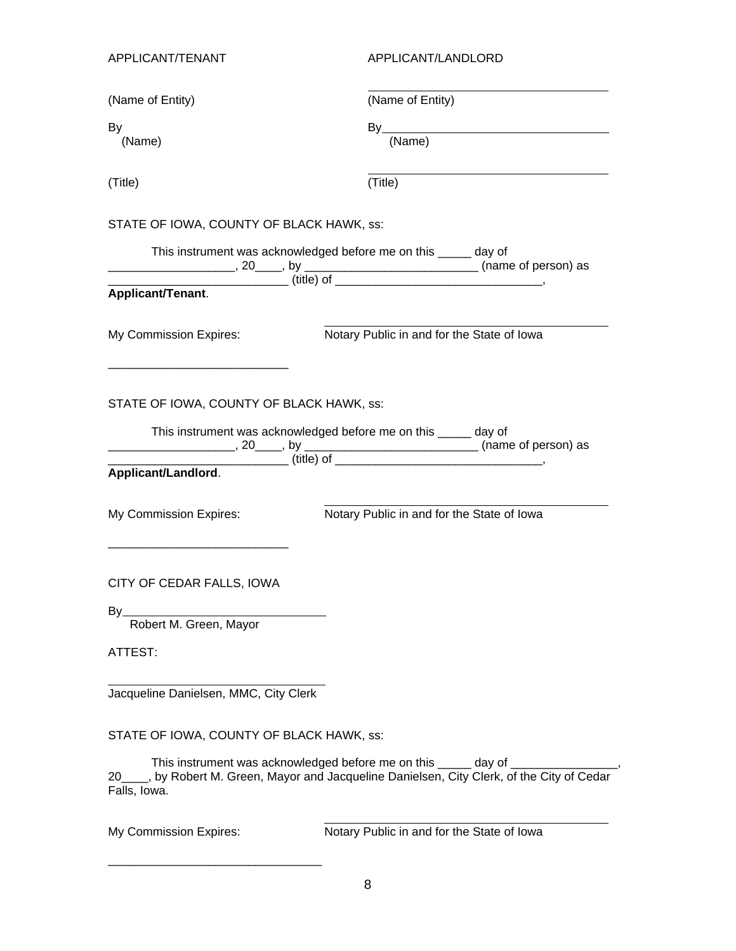| APPLICANT/TENANT                         | APPLICANT/LANDLORD                                                                                                                                                                                                                                                                                                                                                                                                                                                              |  |  |
|------------------------------------------|---------------------------------------------------------------------------------------------------------------------------------------------------------------------------------------------------------------------------------------------------------------------------------------------------------------------------------------------------------------------------------------------------------------------------------------------------------------------------------|--|--|
| (Name of Entity)                         | (Name of Entity)                                                                                                                                                                                                                                                                                                                                                                                                                                                                |  |  |
| By                                       |                                                                                                                                                                                                                                                                                                                                                                                                                                                                                 |  |  |
| (Name)                                   | By<br>(Name)                                                                                                                                                                                                                                                                                                                                                                                                                                                                    |  |  |
| (Title)                                  | (Title)                                                                                                                                                                                                                                                                                                                                                                                                                                                                         |  |  |
| STATE OF IOWA, COUNTY OF BLACK HAWK, ss: |                                                                                                                                                                                                                                                                                                                                                                                                                                                                                 |  |  |
|                                          | This instrument was acknowledged before me on this _____ day of                                                                                                                                                                                                                                                                                                                                                                                                                 |  |  |
|                                          | $\overline{\phantom{a}}$ $\overline{\phantom{a}}$ $\overline{\phantom{a}}$ $\overline{\phantom{a}}$ $\overline{\phantom{a}}$ $\overline{\phantom{a}}$ $\overline{\phantom{a}}$ $\overline{\phantom{a}}$ $\overline{\phantom{a}}$ $\overline{\phantom{a}}$ $\overline{\phantom{a}}$ $\overline{\phantom{a}}$ $\overline{\phantom{a}}$ $\overline{\phantom{a}}$ $\overline{\phantom{a}}$ $\overline{\phantom{a}}$ $\overline{\phantom{a}}$ $\overline{\phantom{a}}$ $\overline{\$ |  |  |
| Applicant/Tenant.                        |                                                                                                                                                                                                                                                                                                                                                                                                                                                                                 |  |  |
| My Commission Expires:                   | Notary Public in and for the State of Iowa                                                                                                                                                                                                                                                                                                                                                                                                                                      |  |  |
| Applicant/Landlord.                      | This instrument was acknowledged before me on this _____ day of<br>(title) of                                                                                                                                                                                                                                                                                                                                                                                                   |  |  |
| My Commission Expires:                   | Notary Public in and for the State of Iowa                                                                                                                                                                                                                                                                                                                                                                                                                                      |  |  |
| CITY OF CEDAR FALLS, IOWA                |                                                                                                                                                                                                                                                                                                                                                                                                                                                                                 |  |  |
| By<br>Robert M. Green, Mayor             |                                                                                                                                                                                                                                                                                                                                                                                                                                                                                 |  |  |
| ATTEST:                                  |                                                                                                                                                                                                                                                                                                                                                                                                                                                                                 |  |  |
| Jacqueline Danielsen, MMC, City Clerk    |                                                                                                                                                                                                                                                                                                                                                                                                                                                                                 |  |  |
| STATE OF IOWA, COUNTY OF BLACK HAWK, ss: |                                                                                                                                                                                                                                                                                                                                                                                                                                                                                 |  |  |
| Falls, Iowa.                             | This instrument was acknowledged before me on this _____ day of _<br>20____, by Robert M. Green, Mayor and Jacqueline Danielsen, City Clerk, of the City of Cedar                                                                                                                                                                                                                                                                                                               |  |  |
| My Commission Expires:                   | Notary Public in and for the State of Iowa                                                                                                                                                                                                                                                                                                                                                                                                                                      |  |  |

\_\_\_\_\_\_\_\_\_\_\_\_\_\_\_\_\_\_\_\_\_\_\_\_\_\_\_\_\_\_\_\_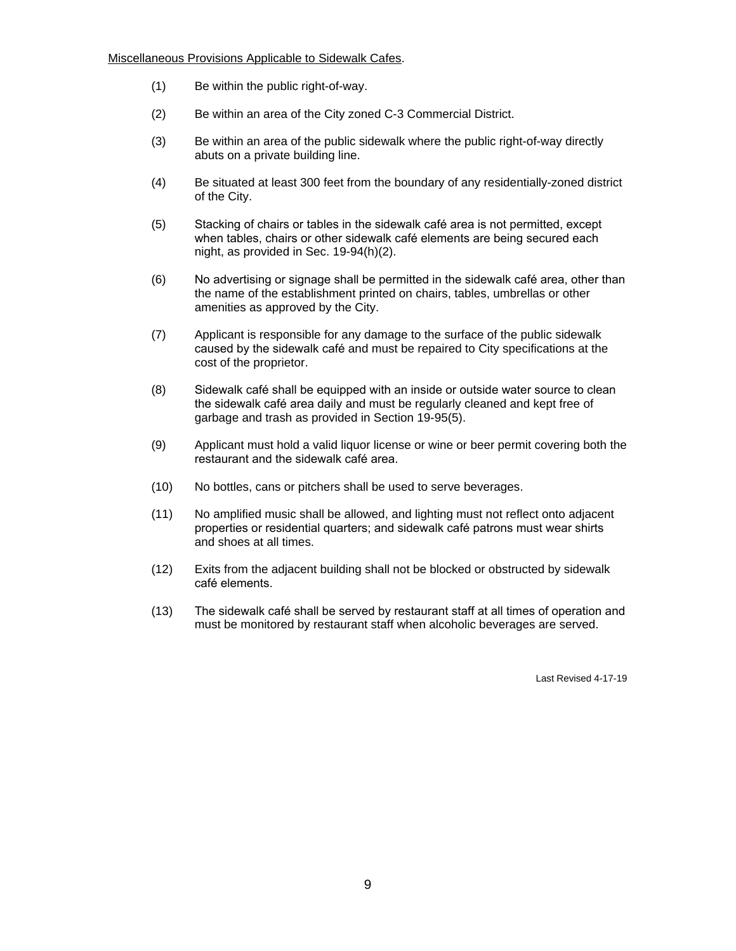- (1) Be within the public right-of-way.
- (2) Be within an area of the City zoned C-3 Commercial District.
- (3) Be within an area of the public sidewalk where the public right-of-way directly abuts on a private building line.
- (4) Be situated at least 300 feet from the boundary of any residentially-zoned district of the City.
- (5) Stacking of chairs or tables in the sidewalk café area is not permitted, except when tables, chairs or other sidewalk café elements are being secured each night, as provided in Sec. 19-94(h)(2).
- (6) No advertising or signage shall be permitted in the sidewalk café area, other than the name of the establishment printed on chairs, tables, umbrellas or other amenities as approved by the City.
- (7) Applicant is responsible for any damage to the surface of the public sidewalk caused by the sidewalk café and must be repaired to City specifications at the cost of the proprietor.
- (8) Sidewalk café shall be equipped with an inside or outside water source to clean the sidewalk café area daily and must be regularly cleaned and kept free of garbage and trash as provided in Section 19-95(5).
- (9) Applicant must hold a valid liquor license or wine or beer permit covering both the restaurant and the sidewalk café area.
- (10) No bottles, cans or pitchers shall be used to serve beverages.
- (11) No amplified music shall be allowed, and lighting must not reflect onto adjacent properties or residential quarters; and sidewalk café patrons must wear shirts and shoes at all times.
- (12) Exits from the adjacent building shall not be blocked or obstructed by sidewalk café elements.
- (13) The sidewalk café shall be served by restaurant staff at all times of operation and must be monitored by restaurant staff when alcoholic beverages are served.

Last Revised 4-17-19